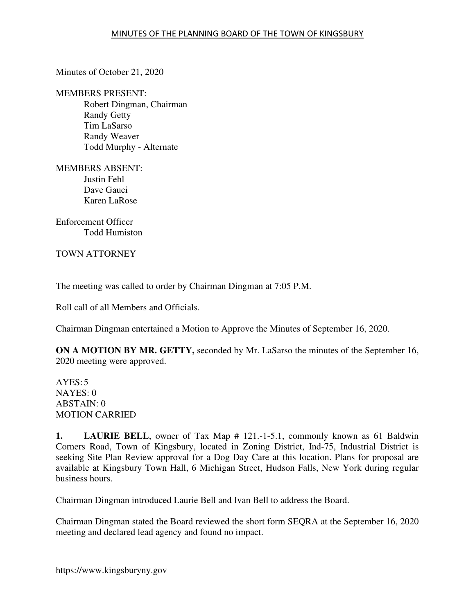Minutes of October 21, 2020

MEMBERS PRESENT: Robert Dingman, Chairman Randy Getty Tim LaSarso Randy Weaver Todd Murphy - Alternate

MEMBERS ABSENT: Justin Fehl Dave Gauci Karen LaRose

Enforcement Officer Todd Humiston

TOWN ATTORNEY

The meeting was called to order by Chairman Dingman at 7:05 P.M.

Roll call of all Members and Officials.

Chairman Dingman entertained a Motion to Approve the Minutes of September 16, 2020.

**ON A MOTION BY MR. GETTY,** seconded by Mr. LaSarso the minutes of the September 16, 2020 meeting were approved.

 $AYES:5$ NAYES: 0 ABSTAIN: 0 MOTION CARRIED

**1. LAURIE BELL**, owner of Tax Map # 121.-1-5.1, commonly known as 61 Baldwin Corners Road, Town of Kingsbury, located in Zoning District, Ind-75, Industrial District is seeking Site Plan Review approval for a Dog Day Care at this location. Plans for proposal are available at Kingsbury Town Hall, 6 Michigan Street, Hudson Falls, New York during regular business hours.

Chairman Dingman introduced Laurie Bell and Ivan Bell to address the Board.

Chairman Dingman stated the Board reviewed the short form SEQRA at the September 16, 2020 meeting and declared lead agency and found no impact.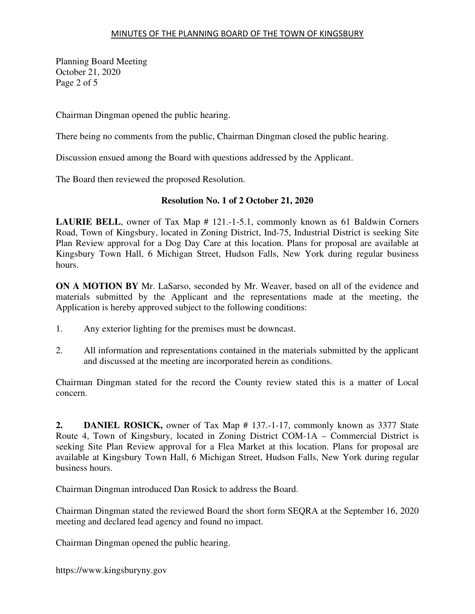### MINUTES OF THE PLANNING BOARD OF THE TOWN OF KINGSBURY

Planning Board Meeting October 21, 2020 Page 2 of 5

Chairman Dingman opened the public hearing.

There being no comments from the public, Chairman Dingman closed the public hearing.

Discussion ensued among the Board with questions addressed by the Applicant.

The Board then reviewed the proposed Resolution.

## **Resolution No. 1 of 2 October 21, 2020**

**LAURIE BELL**, owner of Tax Map # 121.-1-5.1, commonly known as 61 Baldwin Corners Road, Town of Kingsbury, located in Zoning District, Ind-75, Industrial District is seeking Site Plan Review approval for a Dog Day Care at this location. Plans for proposal are available at Kingsbury Town Hall, 6 Michigan Street, Hudson Falls, New York during regular business hours.

**ON A MOTION BY** Mr. LaSarso, seconded by Mr. Weaver, based on all of the evidence and materials submitted by the Applicant and the representations made at the meeting, the Application is hereby approved subject to the following conditions:

- 1. Any exterior lighting for the premises must be downcast.
- 2. All information and representations contained in the materials submitted by the applicant and discussed at the meeting are incorporated herein as conditions.

Chairman Dingman stated for the record the County review stated this is a matter of Local concern.

**2. DANIEL ROSICK,** owner of Tax Map # 137.-1-17, commonly known as 3377 State Route 4, Town of Kingsbury, located in Zoning District COM-1A – Commercial District is seeking Site Plan Review approval for a Flea Market at this location. Plans for proposal are available at Kingsbury Town Hall, 6 Michigan Street, Hudson Falls, New York during regular business hours.

Chairman Dingman introduced Dan Rosick to address the Board.

Chairman Dingman stated the reviewed Board the short form SEQRA at the September 16, 2020 meeting and declared lead agency and found no impact.

Chairman Dingman opened the public hearing.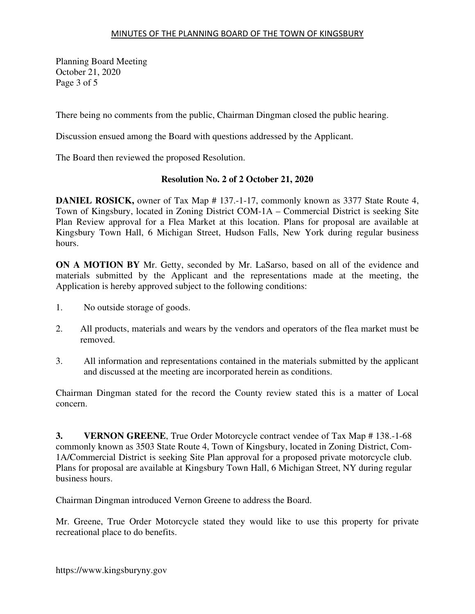Planning Board Meeting October 21, 2020 Page 3 of 5

There being no comments from the public, Chairman Dingman closed the public hearing.

Discussion ensued among the Board with questions addressed by the Applicant.

The Board then reviewed the proposed Resolution.

# **Resolution No. 2 of 2 October 21, 2020**

**DANIEL ROSICK,** owner of Tax Map # 137.-1-17, commonly known as 3377 State Route 4, Town of Kingsbury, located in Zoning District COM-1A – Commercial District is seeking Site Plan Review approval for a Flea Market at this location. Plans for proposal are available at Kingsbury Town Hall, 6 Michigan Street, Hudson Falls, New York during regular business hours.

**ON A MOTION BY** Mr. Getty, seconded by Mr. LaSarso, based on all of the evidence and materials submitted by the Applicant and the representations made at the meeting, the Application is hereby approved subject to the following conditions:

- 1. No outside storage of goods.
- 2. All products, materials and wears by the vendors and operators of the flea market must be removed.
- 3. All information and representations contained in the materials submitted by the applicant and discussed at the meeting are incorporated herein as conditions.

Chairman Dingman stated for the record the County review stated this is a matter of Local concern.

**3. VERNON GREENE**, True Order Motorcycle contract vendee of Tax Map # 138.-1-68 commonly known as 3503 State Route 4, Town of Kingsbury, located in Zoning District, Com-1A/Commercial District is seeking Site Plan approval for a proposed private motorcycle club. Plans for proposal are available at Kingsbury Town Hall, 6 Michigan Street, NY during regular business hours.

Chairman Dingman introduced Vernon Greene to address the Board.

Mr. Greene, True Order Motorcycle stated they would like to use this property for private recreational place to do benefits.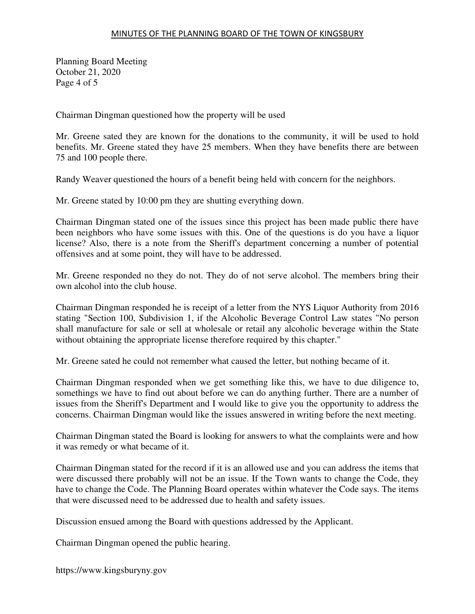### MINUTES OF THE PLANNING BOARD OF THE TOWN OF KINGSBURY

Planning Board Meeting October 21, 2020 Page 4 of 5

Chairman Dingman questioned how the property will be used

Mr. Greene sated they are known for the donations to the community, it will be used to hold benefits. Mr. Greene stated they have 25 members. When they have benefits there are between 75 and 100 people there.

Randy Weaver questioned the hours of a benefit being held with concern for the neighbors.

Mr. Greene stated by 10:00 pm they are shutting everything down.

Chairman Dingman stated one of the issues since this project has been made public there have been neighbors who have some issues with this. One of the questions is do you have a liquor license? Also, there is a note from the Sheriff's department concerning a number of potential offensives and at some point, they will have to be addressed.

Mr. Greene responded no they do not. They do of not serve alcohol. The members bring their own alcohol into the club house.

Chairman Dingman responded he is receipt of a letter from the NYS Liquor Authority from 2016 stating "Section 100, Subdivision 1, if the Alcoholic Beverage Control Law states "No person shall manufacture for sale or sell at wholesale or retail any alcoholic beverage within the State without obtaining the appropriate license therefore required by this chapter."

Mr. Greene sated he could not remember what caused the letter, but nothing became of it.

Chairman Dingman responded when we get something like this, we have to due diligence to, somethings we have to find out about before we can do anything further. There are a number of issues from the Sheriff's Department and I would like to give you the opportunity to address the concerns. Chairman Dingman would like the issues answered in writing before the next meeting.

Chairman Dingman stated the Board is looking for answers to what the complaints were and how it was remedy or what became of it.

Chairman Dingman stated for the record if it is an allowed use and you can address the items that were discussed there probably will not be an issue. If the Town wants to change the Code, they have to change the Code. The Planning Board operates within whatever the Code says. The items that were discussed need to be addressed due to health and safety issues.

Discussion ensued among the Board with questions addressed by the Applicant.

Chairman Dingman opened the public hearing.